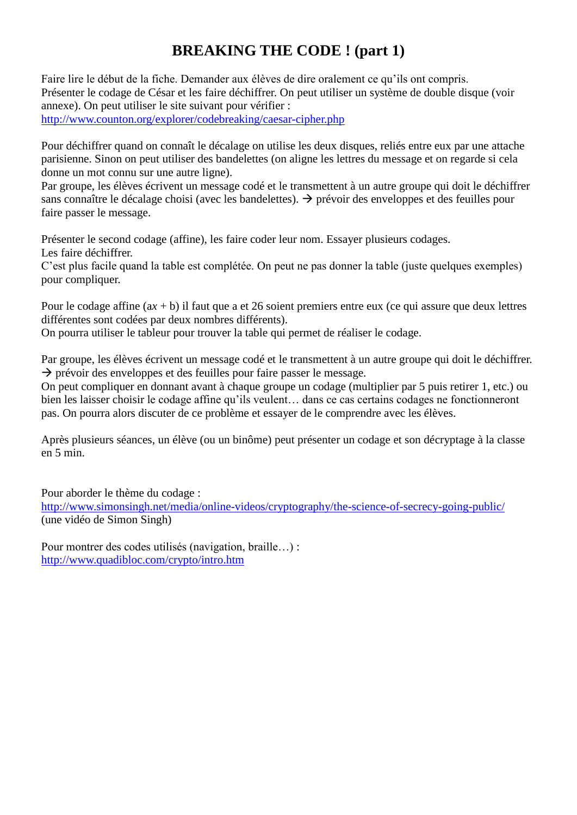## **BREAKING THE CODE ! (part 1)**

Faire lire le début de la fiche. Demander aux élèves de dire oralement ce qu'ils ont compris. Présenter le codage de César et les faire déchiffrer. On peut utiliser un système de double disque (voir annexe). On peut utiliser le site suivant pour vérifier : <http://www.counton.org/explorer/codebreaking/caesar-cipher.php>

Pour déchiffrer quand on connaît le décalage on utilise les deux disques, reliés entre eux par une attache parisienne. Sinon on peut utiliser des bandelettes (on aligne les lettres du message et on regarde si cela donne un mot connu sur une autre ligne).

Par groupe, les élèves écrivent un message codé et le transmettent à un autre groupe qui doit le déchiffrer sans connaître le décalage choisi (avec les bandelettes).  $\rightarrow$  prévoir des enveloppes et des feuilles pour faire passer le message.

Présenter le second codage (affine), les faire coder leur nom. Essayer plusieurs codages. Les faire déchiffrer.

C'est plus facile quand la table est complétée. On peut ne pas donner la table (juste quelques exemples) pour compliquer.

Pour le codage affine (a*x* + b) il faut que a et 26 soient premiers entre eux (ce qui assure que deux lettres différentes sont codées par deux nombres différents).

On pourra utiliser le tableur pour trouver la table qui permet de réaliser le codage.

Par groupe, les élèves écrivent un message codé et le transmettent à un autre groupe qui doit le déchiffrer.  $\rightarrow$  prévoir des enveloppes et des feuilles pour faire passer le message.

On peut compliquer en donnant avant à chaque groupe un codage (multiplier par 5 puis retirer 1, etc.) ou bien les laisser choisir le codage affine qu'ils veulent… dans ce cas certains codages ne fonctionneront pas. On pourra alors discuter de ce problème et essayer de le comprendre avec les élèves.

Après plusieurs séances, un élève (ou un binôme) peut présenter un codage et son décryptage à la classe en 5 min.

Pour aborder le thème du codage : <http://www.simonsingh.net/media/online-videos/cryptography/the-science-of-secrecy-going-public/> (une vidéo de Simon Singh)

Pour montrer des codes utilisés (navigation, braille…) : <http://www.quadibloc.com/crypto/intro.htm>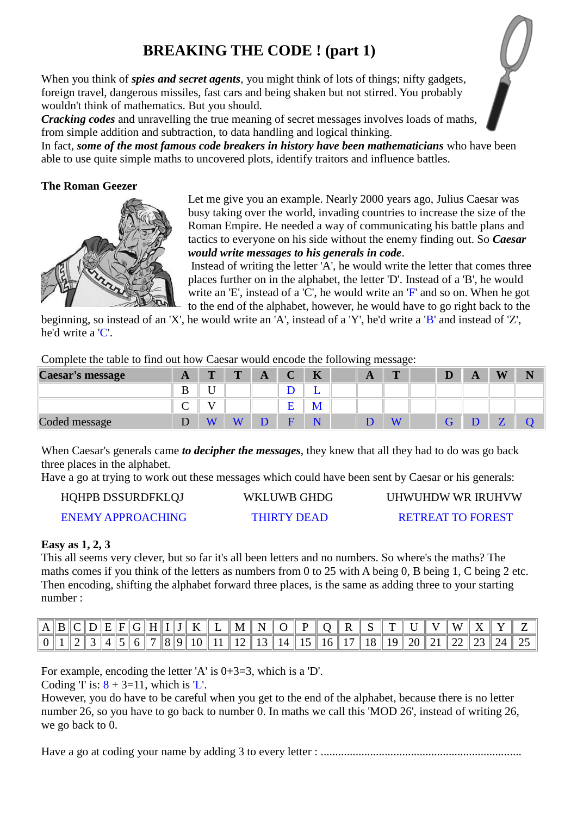# **BREAKING THE CODE ! (part 1)**

When you think of *spies and secret agents*, you might think of lots of things; nifty gadgets, foreign travel, dangerous missiles, fast cars and being shaken but not stirred. You probably wouldn't think of mathematics. But you should.

*Cracking codes* and unravelling the true meaning of secret messages involves loads of maths, from simple addition and subtraction, to data handling and logical thinking.

In fact, *some of the most famous code breakers in history have been mathematicians* who have been able to use quite simple maths to uncovered plots, identify traitors and influence battles.

## **The Roman Geezer**



Let me give you an example. Nearly 2000 years ago, Julius Caesar was busy taking over the world, invading countries to increase the size of the Roman Empire. He needed a way of communicating his battle plans and tactics to everyone on his side without the enemy finding out. So *Caesar would write messages to his generals in code*.

Instead of writing the letter 'A', he would write the letter that comes three places further on in the alphabet, the letter 'D'. Instead of a 'B', he would write an 'E', instead of a 'C', he would write an 'F' and so on. When he got to the end of the alphabet, however, he would have to go right back to the

beginning, so instead of an 'X', he would write an 'A', instead of a 'Y', he'd write a 'B' and instead of 'Z', he'd write a 'C'.

Complete the table to find out how Caesar would encode the following message:

| Caesar's message | A       | $\mathbf{r}$ | $\mathbf{r}$ | A | $\Gamma$<br>U | $\mathbf{I}$<br>IN. | A | $\mathbf{r}$ | D | A | W | N |
|------------------|---------|--------------|--------------|---|---------------|---------------------|---|--------------|---|---|---|---|
|                  | D<br>IJ |              |              |   |               |                     |   |              |   |   |   |   |
|                  | ⌒       |              |              |   | ᠇             | IVI                 |   |              |   |   |   |   |
| Coded message    |         |              |              |   | −             | <b>NT</b>           |   |              |   |   | ▱ |   |

When Caesar's generals came *to decipher the messages*, they knew that all they had to do was go back three places in the alphabet.

Have a go at trying to work out these messages which could have been sent by Caesar or his generals:

| HQHPB DSSURDFKLQJ        | WKLUWB GHDG        | UHWUHDW WR IRUHVW        |
|--------------------------|--------------------|--------------------------|
| <b>ENEMY APPROACHING</b> | <b>THIRTY DEAD</b> | <b>RETREAT TO FOREST</b> |

### **Easy as 1, 2, 3**

This all seems very clever, but so far it's all been letters and no numbers. So where's the maths? The maths comes if you think of the letters as numbers from 0 to 25 with A being 0, B being 1, C being 2 etc. Then encoding, shifting the alphabet forward three places, is the same as adding three to your starting number :

| A I |  |  |  |  |  | $\mathbb{R} \times \mathbb{R} \times \mathbb{R}$ . $\mathbb{R} \times \mathbb{R} \times \mathbb{R}$ , $\mathbb{R} \times \mathbb{R} \times \mathbb{R}$ , $\mathbb{R} \times \mathbb{R}$ , $\mathbb{R} \times \mathbb{R}$ , $\mathbb{R} \times \mathbb{R}$ |  |  |  |  | $\mathbf{M}$                                                     |            |  |
|-----|--|--|--|--|--|-----------------------------------------------------------------------------------------------------------------------------------------------------------------------------------------------------------------------------------------------------------|--|--|--|--|------------------------------------------------------------------|------------|--|
|     |  |  |  |  |  |                                                                                                                                                                                                                                                           |  |  |  |  | $\ 8\ 9\ 10\ 11\ 12\ 13\ 14\ 15\ 16\ 17\ 18\ 19\ 20\ 21\ 22\ 23$ | - 24    25 |  |

For example, encoding the letter 'A' is 0+3=3, which is a 'D'.

Coding T is:  $8 + 3=11$ , which is 'L'.

However, you do have to be careful when you get to the end of the alphabet, because there is no letter number 26, so you have to go back to number 0. In maths we call this 'MOD 26', instead of writing 26, we go back to 0.

Have a go at coding your name by adding 3 to every letter : .....................................................................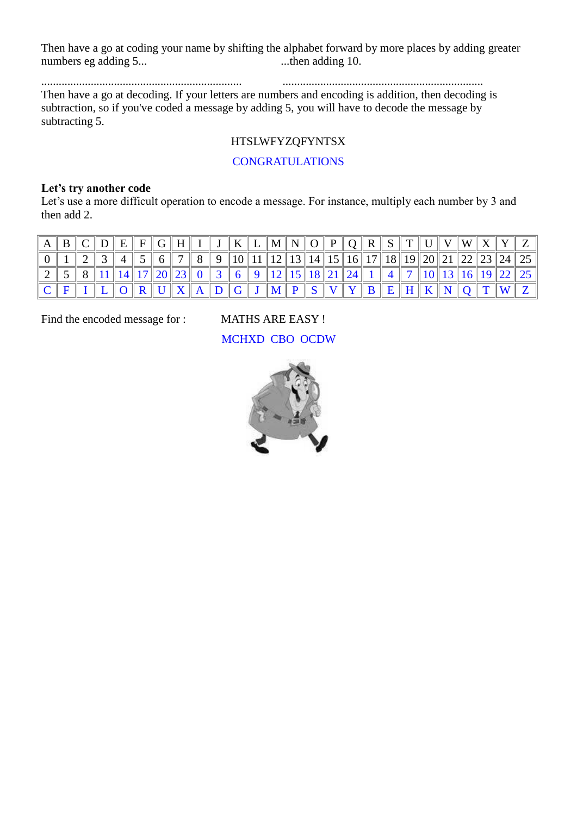Then have a go at coding your name by shifting the alphabet forward by more places by adding greater numbers eg adding 5... ...then adding 10.

..................................................................... .....................................................................

Then have a go at decoding. If your letters are numbers and encoding is addition, then decoding is subtraction, so if you've coded a message by adding 5, you will have to decode the message by subtracting 5.

## HTSLWFYZQFYNTSX

### **CONGRATULATIONS**

### **Let's try another code**

Let's use a more difficult operation to encode a message. For instance, multiply each number by 3 and then add 2.

| $\mathbf{A}$ |  |  |  |  |  |  |  |  | $E E F G H I J J K L M N O P Q R S T U V W X Y$                                                                                                                                                                                   |  |  |  |                                                                                                                                                                                                                                                                                                                                                                                                                                                                                                                                                                                                       |
|--------------|--|--|--|--|--|--|--|--|-----------------------------------------------------------------------------------------------------------------------------------------------------------------------------------------------------------------------------------|--|--|--|-------------------------------------------------------------------------------------------------------------------------------------------------------------------------------------------------------------------------------------------------------------------------------------------------------------------------------------------------------------------------------------------------------------------------------------------------------------------------------------------------------------------------------------------------------------------------------------------------------|
|              |  |  |  |  |  |  |  |  |                                                                                                                                                                                                                                   |  |  |  | $\parallel 5 \parallel 6 \parallel 7 \parallel 8 \parallel 9 \parallel 10 \parallel 11 \parallel 12 \parallel 13 \parallel 14 \parallel 15 \parallel 16 \parallel 17 \parallel 18 \parallel 19 \parallel 20 \parallel 21 \parallel 22 \parallel 23 \parallel 24 \parallel 25 \parallel 24 \parallel 25 \parallel 25 \parallel 26 \parallel 27 \parallel 28 \parallel 28 \parallel 28 \parallel 29 \parallel 29 \parallel 29 \parallel 29 \parallel 20 \parallel 21 \parallel 22 \parallel 23 \parallel 24 \parallel 25 \parallel 29 \parallel 20 \parallel 21 \parallel 22 \parallel 23 \parallel 24$ |
|              |  |  |  |  |  |  |  |  | $8 \  11 \  14 \  17 \  20 \  23 \  0 3 \  5 6 \  9 12 \  15 18 \  21 24 1 1 4 7 10 13 16 19 22 1$                                                                                                                                |  |  |  |                                                                                                                                                                                                                                                                                                                                                                                                                                                                                                                                                                                                       |
|              |  |  |  |  |  |  |  |  | $\boxed{O \parallel R \parallel U \parallel X \parallel A \parallel D \parallel G \parallel J \parallel M \parallel P \parallel S \parallel V \parallel Y \parallel B \parallel E \parallel H \parallel K \parallel N \parallel}$ |  |  |  |                                                                                                                                                                                                                                                                                                                                                                                                                                                                                                                                                                                                       |

Find the encoded message for : MATHS ARE EASY !

### MCHXD CBO OCDW

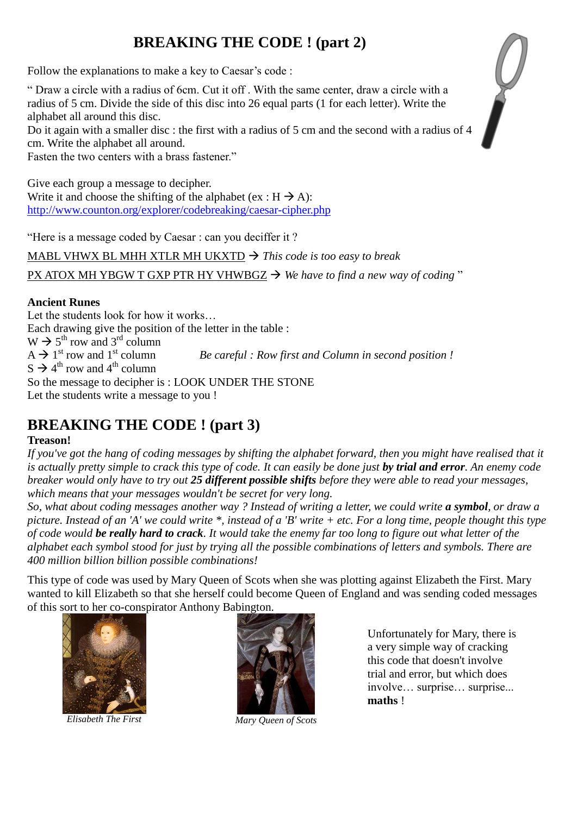# **BREAKING THE CODE ! (part 2)**

Follow the explanations to make a key to Caesar's code :

" Draw a circle with a radius of 6cm. Cut it off . With the same center, draw a circle with a radius of 5 cm. Divide the side of this disc into 26 equal parts (1 for each letter). Write the alphabet all around this disc.

Do it again with a smaller disc : the first with a radius of 5 cm and the second with a radius of 4 cm. Write the alphabet all around.

Fasten the two centers with a brass fastener."

Give each group a message to decipher. Write it and choose the shifting of the alphabet (ex :  $H \rightarrow A$ ): <http://www.counton.org/explorer/codebreaking/caesar-cipher.php>

"Here is a message coded by Caesar : can you deciffer it ?

MABL VHWX BL MHH XTLR MH UKXTD  $\rightarrow$  This code is too easy to break

PX ATOX MH YBGW T GXP PTR HY VHWBGZ → We have to find a new way of coding "

## **Ancient Runes**

Let the students look for how it works… Each drawing give the position of the letter in the table :  $W \rightarrow 5^{th}$  row and 3<sup>rd</sup> column  $A \rightarrow 1^{st}$  row and  $1^{st}$  column Be careful : Row first and Column in second position !  $S \rightarrow 4^{th}$  row and  $4^{th}$  column So the message to decipher is : LOOK UNDER THE STONE Let the students write a message to you !

# **BREAKING THE CODE ! (part 3)**

## **Treason!**

If you've got the hang of coding messages by shifting the alphabet forward, then you might have realised that it *is actually pretty simple to crack this type of code. It can easily be done just by trial and error. An enemy code breaker would only have to try out 25 different possible shifts before they were able to read your messages, which means that your messages wouldn't be secret for very long.*

*So, what about coding messages another way ? Instead of writing a letter, we could write a symbol, or draw a picture. Instead of an 'A' we could write \*, instead of a 'B' write + etc. For a long time, people thought this type of code would be really hard to crack. It would take the enemy far too long to figure out what letter of the alphabet each symbol stood for just by trying all the possible combinations of letters and symbols. There are 400 million billion billion possible combinations!*

This type of code was used by Mary Queen of Scots when she was plotting against Elizabeth the First. Mary wanted to kill Elizabeth so that she herself could become Queen of England and was sending coded messages of this sort to her co-conspirator Anthony Babington.



*Elisabeth The First Mary Queen of Scots*



Unfortunately for Mary, there is a very simple way of cracking this code that doesn't involve trial and error, but which does involve… surprise… surprise... **maths** !

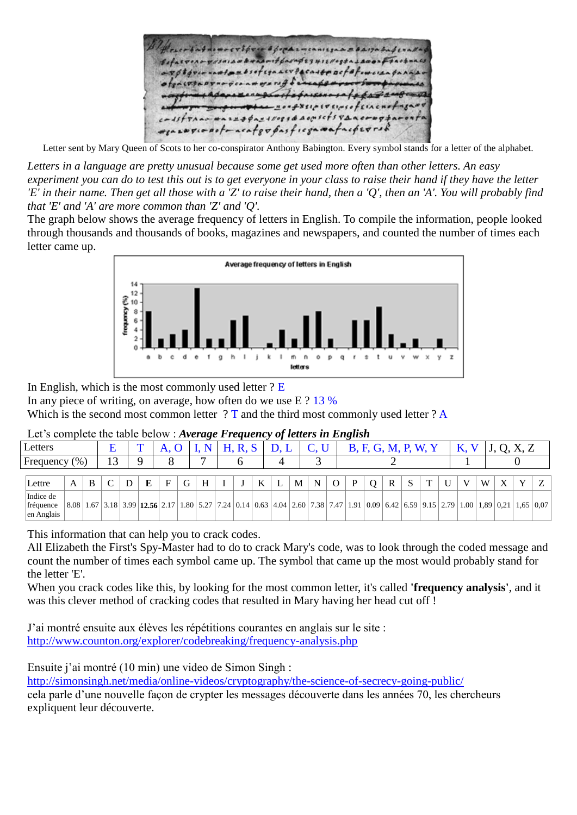awgivestracafgopasficgamafacperrs.

Letter sent by Mary Queen of Scots to her co-conspirator Anthony Babington. Every symbol stands for a letter of the alphabet.

*Letters in a language are pretty unusual because some get used more often than other letters. An easy experiment you can do to test this out is to get everyone in your class to raise their hand if they have the letter 'E' in their name. Then get all those with a 'Z' to raise their hand, then a 'Q', then an 'A'. You will probably find that 'E' and 'A' are more common than 'Z' and 'Q'.*

The graph below shows the average frequency of letters in English. To compile the information, people looked through thousands and thousands of books, magazines and newspapers, and counted the number of times each letter came up.



In English, which is the most commonly used letter  $?E$ 

In any piece of writing, on average, how often do we use E ? 13 %

Which is the second most common letter ? T and the third most commonly used letter ? A

|  | Let's complete the table below : Average Frequency of letters in English |  |  |
|--|--------------------------------------------------------------------------|--|--|
|  |                                                                          |  |  |

|                                      |     |   |    |                                                                            |              |   | . .                                                            |  |   |   |   |   | ີ |                                                                                                                                             |                 |  |   |   |   |                  |   |
|--------------------------------------|-----|---|----|----------------------------------------------------------------------------|--------------|---|----------------------------------------------------------------|--|---|---|---|---|---|---------------------------------------------------------------------------------------------------------------------------------------------|-----------------|--|---|---|---|------------------|---|
| Letters                              |     |   |    | m                                                                          | $\mathbf{L}$ |   |                                                                |  |   |   |   |   |   |                                                                                                                                             | <b>M, P, W,</b> |  |   |   |   |                  |   |
| Frequency                            | (%) |   | 13 |                                                                            |              |   | ┍                                                              |  |   |   |   |   |   |                                                                                                                                             |                 |  |   |   |   |                  |   |
| Lettre                               | A   | B |    | E                                                                          | F            | G | H                                                              |  | K | M | N | O | P | R                                                                                                                                           |                 |  | V | W | X | $\mathbf{v}$     | Z |
| Indice de<br>fréquence<br>en Anglais |     |   |    | $\vert 8.08 \vert 1.67 \vert 3.18 \vert 3.99 \vert 12.56 \vert 2.17 \vert$ |              |   | $\vert 1.80 \vert 5.27 \vert 7.24 \vert 0.14 \vert 0.63 \vert$ |  |   |   |   |   |   | $(4.04 \, \, 2.60 \, \, 7.38 \, \, 7.47 \, \, 1.91 \, \, 0.09 \, \, 6.42 \, \, 6.59 \, \, 9.15 \, \, 2.79 \, \, 1.00 \, \, 1.89 \, \, 0.21$ |                 |  |   |   |   | $1,65 \mid 0.07$ |   |

This information that can help you to crack codes.

All Elizabeth the First's Spy-Master had to do to crack Mary's code, was to look through the coded message and count the number of times each symbol came up. The symbol that came up the most would probably stand for the letter 'E'.

When you crack codes like this, by looking for the most common letter, it's called **'frequency analysis'**, and it was this clever method of cracking codes that resulted in Mary having her head cut off !

J'ai montré ensuite aux élèves les répétitions courantes en anglais sur le site : <http://www.counton.org/explorer/codebreaking/frequency-analysis.php>

Ensuite j'ai montré (10 min) une video de Simon Singh :

<http://simonsingh.net/media/online-videos/cryptography/the-science-of-secrecy-going-public/>

cela parle d'une nouvelle façon de crypter les messages découverte dans les années 70, les chercheurs expliquent leur découverte.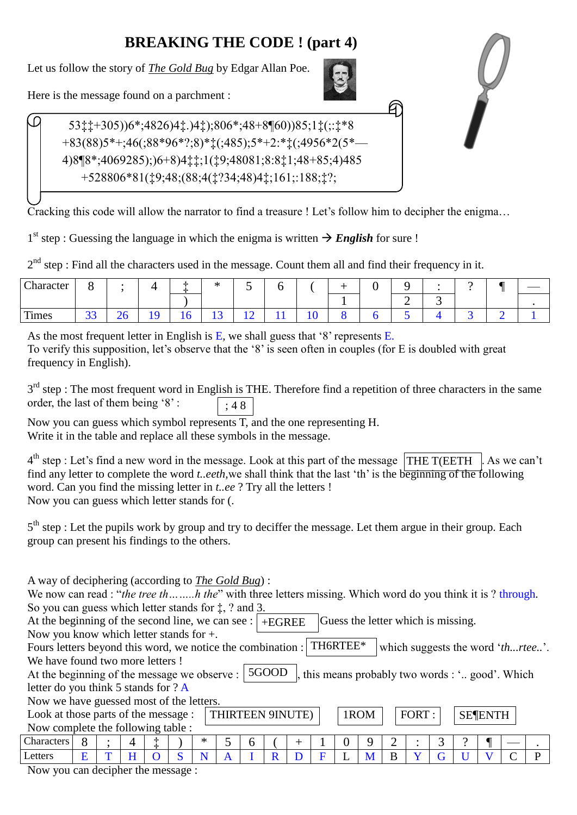# **BREAKING THE CODE ! (part 4)**

Let us follow the story of *The Gold Bug* by Edgar Allan Poe.



Here is the message found on a parchment :

 53‡‡+305))6\*;4826)4‡.)4‡);806\*;48+8¶60))85;1‡(;:‡\*8 +83(88)5\*+;46(;88\*96\*?;8)\*‡(;485);5\*+2:\*‡(;4956\*2(5\*— 4)8¶8\*;4069285);)6+8)4‡‡;1(‡9;48081;8:8‡1;48+85;4)485 +528806\*81(‡9;48;(88;4(‡?34;48)4‡;161;:188;‡?;

Cracking this code will allow the narrator to find a treasure ! Let's follow him to decipher the enigma…

1<sup>st</sup> step : Guessing the language in which the enigma is written  $\rightarrow$  *English* for sure !

 $2<sup>nd</sup>$  step : Find all the characters used in the message. Count them all and find their frequency in it.

| Character | o                  |   | _        | -le<br>-34 | $\mathbf{A}$<br>灬 | <b>Contract Contract Contract</b>                    | -<br>ິ              |                |  |   |   | $\overline{\phantom{0}}$ |  |
|-----------|--------------------|---|----------|------------|-------------------|------------------------------------------------------|---------------------|----------------|--|---|---|--------------------------|--|
|           |                    |   |          |            |                   |                                                      |                     |                |  | ∽ | ັ |                          |  |
| Times     | $\mathbf{a}$<br>ັບ | ∼ | $\Delta$ | 1 v        | $\sim$<br>*∸      | $\overline{\phantom{a}}$<br>$\overline{\phantom{0}}$ | - 4<br>$\mathbf{r}$ | $\overline{1}$ |  |   |   |                          |  |

As the most frequent letter in English is E, we shall guess that '8' represents E. To verify this supposition, let's observe that the '8' is seen often in couples (for E is doubled with great frequency in English).

|                                     | $3rd$ step : The most frequent word in English is THE. Therefore find a repetition of three characters in the same |
|-------------------------------------|--------------------------------------------------------------------------------------------------------------------|
| order, the last of them being $8$ . | $\left  \right $ : 48                                                                                              |

Now you can guess which symbol represents T, and the one representing H. Write it in the table and replace all these symbols in the message.

 $4<sup>th</sup>$  step : Let's find a new word in the message. Look at this part of the message  $\boxed{\text{THE T(EETH)}}$ . As we can't find any letter to complete the word *t..eeth,*we shall think that the last 'th' is the beginning of the following word. Can you find the missing letter in *t..ee* ? Try all the letters ! Now you can guess which letter stands for (.

5<sup>th</sup> step : Let the pupils work by group and try to deciffer the message. Let them argue in their group. Each group can present his findings to the others.

At the beginning of the second line, we can see :  $\vert$  +EGREE  $\vert$  Guess the letter which is missing. At the beginning of the message we observe :  $\vert$  5GOOD  $\vert$ , this means probably two words : '.. good'. Which THIRTEEN 9INUTE)  $|$   $|$  1ROM  $|$   $|$  FORT :  $|$  SE ENTH Fours letters beyond this word, we notice the combination :  $\vert$  TH6RTEE\*  $\vert$  which suggests the word '*th...rtee..*'. A way of deciphering (according to *The Gold Bug*) : We now can read : "*the tree th........h the*" with three letters missing. Which word do you think it is ? through. So you can guess which letter stands for ‡, ? and 3. Now you know which letter stands for +. We have found two more letters ! letter do you think 5 stands for ? A Now we have guessed most of the letters. Look at those parts of the message : Now complete the following table : Characters 8 ; 4 ‡ ) \* 5 6 ( + 1 0 9 2 : 3 ? ¶ — . Letters  $E[T|H|O|S|N|A|I|R|D|F|L|M|B|Y|G|U|V|C|P$ 

Now you can decipher the message :

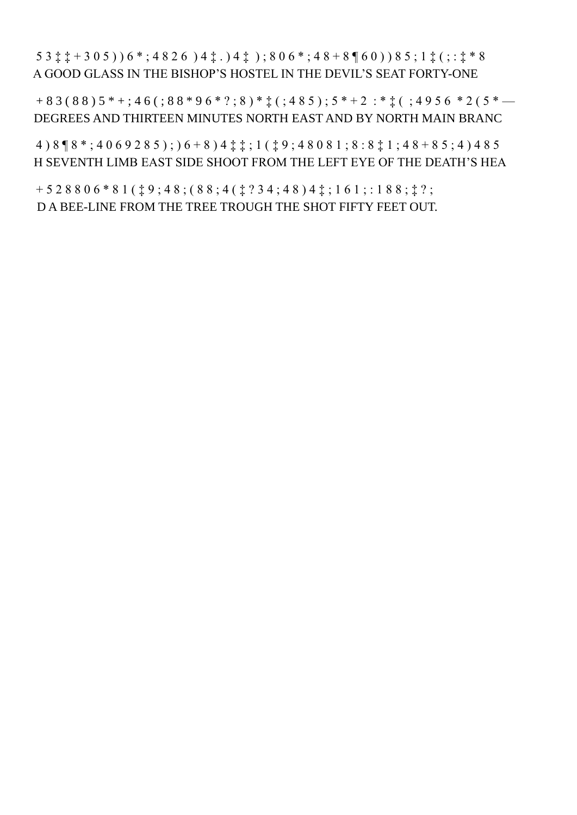5 3 ‡ ‡ + 3 0 5 ) ) 6 \* ; 4 8 2 6 ) 4 ‡ . ) 4 ‡ ) ; 8 0 6 \* ; 4 8 + 8 ¶ 6 0 ) ) 8 5 ; 1 ‡ ( ; : ‡ \* 8 A GOOD GLASS IN THE BISHOP'S HOSTEL IN THE DEVIL'S SEAT FORTY-ONE

 $+83(88)5*+;46(88*96*$ ?; 8 )\* $\ddagger$ (; 485); 5 \* + 2 : \*  $\ddagger$  (; 4956 \* 2 (5 \* — DEGREES AND THIRTEEN MINUTES NORTH EAST AND BY NORTH MAIN BRANC

4 ) 8 ¶ 8 \* ; 4 0 6 9 2 8 5 ) ; ) 6 + 8 ) 4 ‡ ‡ ; 1 ( ‡ 9 ; 4 8 0 8 1 ; 8 : 8 ‡ 1 ; 4 8 + 8 5 ; 4 ) 4 8 5 H SEVENTH LIMB EAST SIDE SHOOT FROM THE LEFT EYE OF THE DEATH'S HEA

 $+ 528806*81(19; 48; (88; 4(1234; 48)41; 161; 188; 1?$ D A BEE-LINE FROM THE TREE TROUGH THE SHOT FIFTY FEET OUT.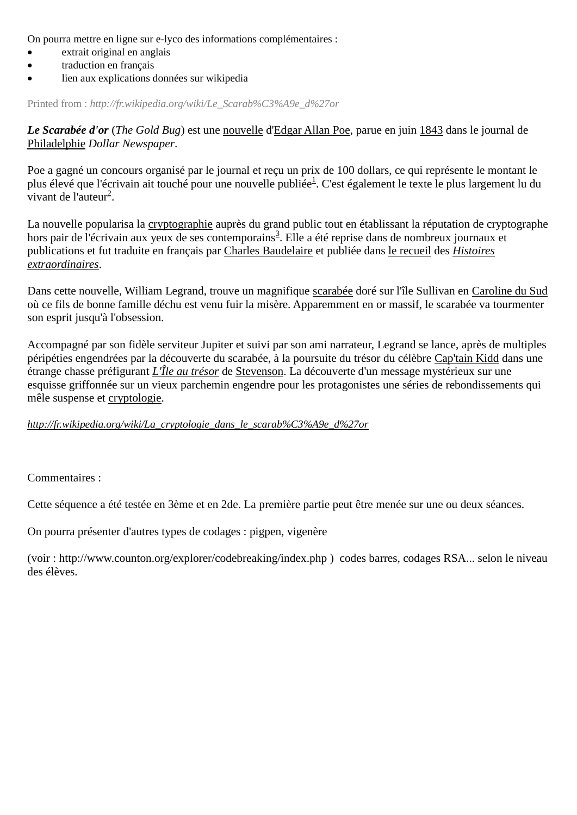On pourra mettre en ligne sur e-lyco des informations complémentaires :

- extrait original en anglais
- traduction en français
- lien aux explications données sur wikipedia

Printed from : *http://fr.wikipedia.org/wiki/Le\_Scarab%C3%A9e\_d%27or*

*Le Scarabée d'or* (*The Gold Bug*) est une [nouvelle](http://fr.wikipedia.org/wiki/Nouvelle) d['Edgar Allan Poe,](http://fr.wikipedia.org/wiki/Edgar_Allan_Poe) parue en juin [1843](http://fr.wikipedia.org/wiki/1843) dans le journal de [Philadelphie](http://fr.wikipedia.org/wiki/Philadelphie) *Dollar Newspaper*.

Poe a gagné un concours organisé par le journal et reçu un prix de 100 dollars, ce qui représente le montant le plus élevé que l'écrivain ait touché pour une nouvelle publiée<sup>[1](http://fr.wikipedia.org/wiki/Le_Scarabée_d%27or#cite_note-0)</sup>. C'est également le texte le plus largement lu du vivant de l'auteur<sup>[2](http://fr.wikipedia.org/wiki/Le_Scarabée_d%27or#cite_note-1)</sup>.

La nouvelle popularisa la [cryptographie](http://fr.wikipedia.org/wiki/Cryptographie) auprès du grand public tout en établissant la réputation de cryptographe hors pair de l'écrivain aux yeux de ses contemporains<sup>[3](http://fr.wikipedia.org/wiki/Le_Scarabée_d%27or#cite_note-2)</sup>. Elle a été reprise dans de nombreux journaux et publications et fut traduite en français par [Charles Baudelaire](http://fr.wikipedia.org/wiki/Charles_Baudelaire) et publiée dans [le recueil](http://fr.wikipedia.org/wiki/Anthologie) des *[Histoires](http://fr.wikipedia.org/wiki/Histoires_extraordinaires)  [extraordinaires](http://fr.wikipedia.org/wiki/Histoires_extraordinaires)*.

Dans cette nouvelle, William Legrand, trouve un magnifique [scarabée](http://fr.wikipedia.org/wiki/Scarabée) doré sur l'île Sullivan en [Caroline du Sud](http://fr.wikipedia.org/wiki/Caroline_du_Sud) où ce fils de bonne famille déchu est venu fuir la misère. Apparemment en or massif, le scarabée va tourmenter son esprit jusqu'à l'obsession.

Accompagné par son fidèle serviteur Jupiter et suivi par son ami narrateur, Legrand se lance, après de multiples péripéties engendrées par la découverte du scarabée, à la poursuite du trésor du célèbre [Cap'tain Kidd](http://fr.wikipedia.org/wiki/William_Kidd) dans une étrange chasse préfigurant *[L'Île au trésor](http://fr.wikipedia.org/wiki/L%27Île_au_trésor)* de [Stevenson.](http://fr.wikipedia.org/wiki/Robert-Louis_Stevenson) La découverte d'un message mystérieux sur une esquisse griffonnée sur un vieux parchemin engendre pour les protagonistes une séries de rebondissements qui mêle suspense et [cryptologie.](http://fr.wikipedia.org/wiki/Cryptologie)

*[http://fr.wikipedia.org/wiki/La\\_cryptologie\\_dans\\_le\\_scarab%C3%A9e\\_d%27or](http://fr.wikipedia.org/wiki/La_cryptologie_dans_le_scarabée_d%27or)*

Commentaires :

Cette séquence a été testée en 3ème et en 2de. La première partie peut être menée sur une ou deux séances.

On pourra présenter d'autres types de codages : pigpen, vigenère

(voir :<http://www.counton.org/explorer/codebreaking/index.php> ) codes barres, codages RSA... selon le niveau des élèves.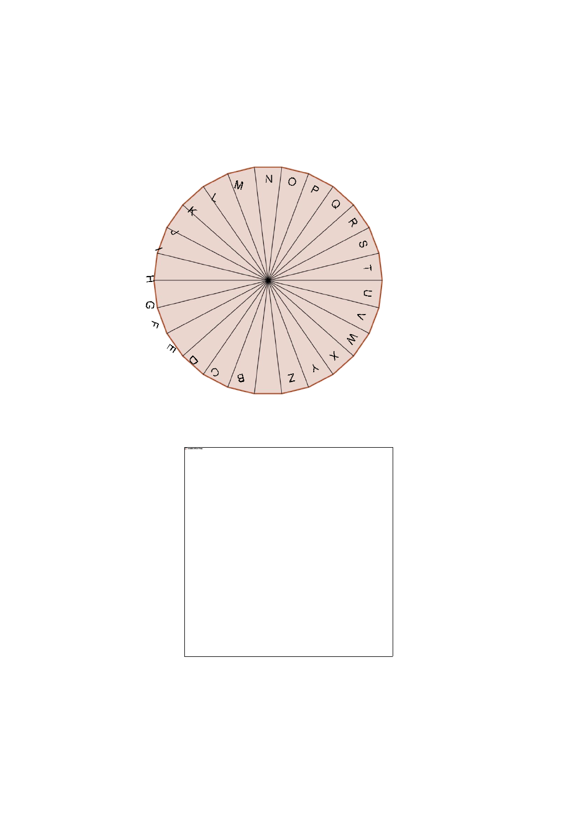

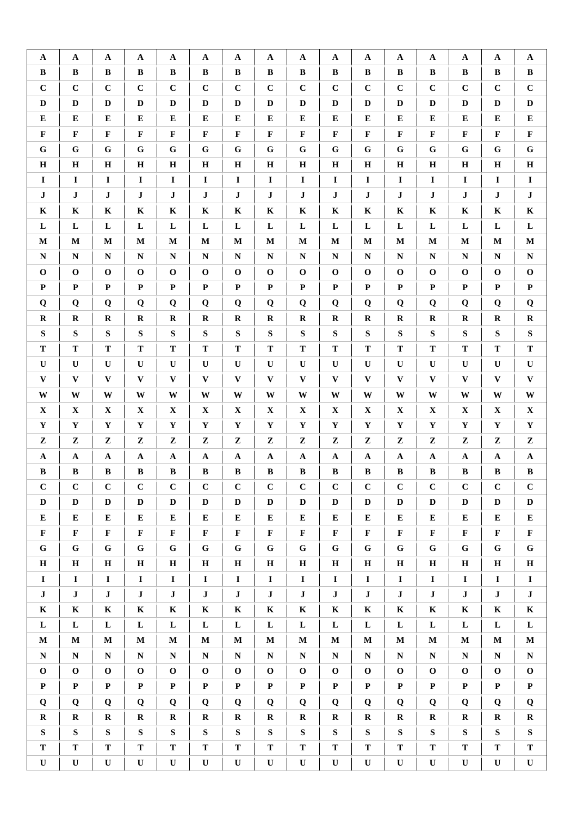| $\mathbf{A}$ | $\mathbf{A}$ | A            | $\mathbf{A}$ | $\mathbf{A}$ | $\mathbf{A}$ | A            | $\mathbf{A}$ | $\mathbf{A}$ | A            | $\mathbf{A}$ | $\mathbf{A}$ | A            | $\mathbf A$  | $\mathbf{A}$ | $\mathbf A$  |
|--------------|--------------|--------------|--------------|--------------|--------------|--------------|--------------|--------------|--------------|--------------|--------------|--------------|--------------|--------------|--------------|
| B            | $\bf{B}$     | B            | B            | $\, {\bf B}$ | B            | B            | $\bf{B}$     | B            | $\bf{B}$     | $\bf{B}$     | B            | B            | $\bf{B}$     | B            | $\, {\bf B}$ |
| $\mathbf C$  | $\mathbf C$  | $\mathbf C$  | $\mathbf C$  | $\mathbf C$  | $\mathbf C$  | $\mathbf C$  | $\mathbf C$  | $\mathbf C$  | $\mathbf C$  | $\mathbf C$  | $\mathbf C$  | $\mathbf C$  | $\mathbf C$  | $\mathbf C$  | $\mathbf C$  |
| $\mathbf D$  | $\mathbf D$  | $\mathbf D$  | $\mathbf D$  | $\mathbf D$  | $\mathbf D$  | $\mathbf D$  | D            | $\mathbf D$  | $\mathbf D$  | $\mathbf D$  | $\mathbf D$  | $\mathbf D$  | D            | D            | $\mathbf D$  |
| E            | E            | ${\bf E}$    | ${\bf E}$    | E            | ${\bf E}$    | ${\bf E}$    | E            | ${\bf E}$    | ${\bf E}$    | ${\bf E}$    | ${\bf E}$    | E            | ${\bf E}$    | ${\bf E}$    | ${\bf E}$    |
| $\mathbf F$  | $\mathbf{F}$ | $\mathbf F$  | $\mathbf F$  | $\mathbf{F}$ | $\mathbf F$  | $\mathbf F$  | $\mathbf F$  | $\mathbf F$  | $\mathbf F$  | $\mathbf F$  | $\mathbf F$  | $\mathbf F$  | $\mathbf{F}$ | $\mathbf F$  | $\mathbf F$  |
| ${\bf G}$    | $\mathbf G$  | ${\bf G}$    | ${\bf G}$    | $\mathbf G$  | ${\bf G}$    | ${\bf G}$    | ${\bf G}$    | ${\bf G}$    | ${\bf G}$    | ${\bf G}$    | ${\bf G}$    | $\mathbf G$  | $\mathbf G$  | $\mathbf G$  | ${\bf G}$    |
| $\mathbf H$  | $\mathbf H$  | $\mathbf H$  | $\mathbf H$  | $\mathbf H$  | $\mathbf H$  | $\mathbf H$  | $\mathbf H$  | $\mathbf H$  | $\mathbf H$  | $\mathbf H$  | $\bf H$      | $\mathbf H$  | $\mathbf H$  | $\bf H$      | $\mathbf H$  |
| $\mathbf I$  | $\mathbf I$  | $\mathbf I$  | $\mathbf I$  | $\mathbf I$  | $\mathbf I$  | $\mathbf I$  | $\mathbf I$  | $\mathbf I$  | $\mathbf I$  | $\mathbf I$  | $\mathbf I$  | $\mathbf I$  | $\mathbf I$  | $\mathbf I$  | $\mathbf I$  |
| $\mathbf{J}$ | $\bf J$      | $\mathbf J$  | $\bf J$      | $\mathbf{J}$ | $\bf J$      | ${\bf J}$    | $\mathbf{J}$ | $\bf J$      | $\bf J$      | $\bf J$      | ${\bf J}$    | $\bf J$      | $\bf J$      | $\bf J$      | $\bf J$      |
| $\mathbf K$  | $\mathbf K$  | $\mathbf K$  | $\mathbf K$  | $\mathbf K$  | K            | $\mathbf K$  | $\mathbf K$  | $\mathbf K$  | $\mathbf K$  | $\mathbf K$  | $\mathbf K$  | $\mathbf K$  | $\mathbf K$  | $\mathbf K$  | $\mathbf K$  |
| $\mathbf L$  | ${\bf L}$    | L            | ${\bf L}$    | L            | ${\bf L}$    | $\mathbf L$  | L            | $\mathbf L$  | $\mathbf L$  | L            | $\mathbf L$  | ${\bf L}$    | L            | ${\bf L}$    | ${\bf L}$    |
| $\mathbf M$  | M            | $\mathbf M$  | M            | M            | $\mathbf M$  | $\mathbf M$  | M            | $\mathbf M$  | M            | $\mathbf M$  | M            | $\mathbf M$  | $\mathbf M$  | $\mathbf M$  | $\mathbf M$  |
| ${\bf N}$    | ${\bf N}$    | ${\bf N}$    | ${\bf N}$    | ${\bf N}$    | ${\bf N}$    | ${\bf N}$    | ${\bf N}$    | ${\bf N}$    | ${\bf N}$    | ${\bf N}$    | ${\bf N}$    | ${\bf N}$    | ${\bf N}$    | ${\bf N}$    | $\mathbf N$  |
| $\mathbf 0$  | $\mathbf 0$  | $\mathbf 0$  | $\mathbf 0$  | $\mathbf 0$  | $\mathbf 0$  | $\mathbf 0$  | $\mathbf 0$  | $\mathbf 0$  | $\mathbf 0$  | $\mathbf{o}$ | $\mathbf 0$  | $\mathbf{o}$ | $\mathbf 0$  | $\mathbf 0$  | $\mathbf 0$  |
| $\mathbf P$  | $\mathbf{P}$ | $\mathbf P$  | $\mathbf P$  | $\mathbf{P}$ | $\mathbf P$  | $\mathbf P$  | $\mathbf{P}$ | ${\bf P}$    | $\mathbf P$  | $\mathbf{P}$ | $\mathbf P$  | $\mathbf P$  | $\mathbf{P}$ | $\mathbf P$  | $\mathbf P$  |
| Q            | Q            | Q            | Q            | Q            | Q            | Q            | Q            | Q            | Q            | Q            | $\bf Q$      | Q            | Q            | Q            | $\bf Q$      |
| $\mathbf R$  | $\mathbf R$  | $\mathbf R$  | $\mathbf R$  | $\mathbf R$  | $\mathbf R$  | $\mathbf R$  | $\mathbf R$  | $\mathbf R$  | $\mathbf R$  | $\mathbf R$  | $\mathbf R$  | $\mathbf R$  | $\bf R$      | $\mathbf R$  | $\mathbf R$  |
| ${\bf S}$    | ${\bf S}$    | ${\bf S}$    | ${\bf S}$    | ${\bf S}$    | ${\bf S}$    | ${\bf S}$    | ${\bf S}$    | ${\bf S}$    | ${\bf S}$    | ${\bf S}$    | ${\bf S}$    | ${\bf S}$    | ${\bf S}$    | ${\bf S}$    | ${\bf S}$    |
| $\mathbf T$  | T            | T            | T            | T            | T            | ${\bf T}$    | T            | T            | $\mathbf T$  | T            | $\mathbf T$  | T            | ${\bf T}$    | $\mathbf T$  | $\mathbf T$  |
|              | $\mathbf U$  |              |              | $\mathbf U$  |              |              | $\mathbf{U}$ |              |              | $\mathbf U$  |              |              | $\mathbf{U}$ |              |              |
| $\mathbf U$  |              | $\mathbf U$  | $\mathbf U$  |              | $\mathbf U$  | $\mathbf U$  |              | ${\bf U}$    | $\mathbf U$  |              | $\mathbf U$  | $\mathbf U$  |              | $\mathbf U$  | ${\bf U}$    |
| $\mathbf{V}$ | $\mathbf{V}$ | $\mathbf{V}$ | $\mathbf{V}$ | $\mathbf{V}$ | $\mathbf{V}$ | $\mathbf{V}$ | $\mathbf{V}$ | $\mathbf{V}$ | $\mathbf{V}$ | $\mathbf{V}$ | $\mathbf{V}$ | $\mathbf{V}$ | $\mathbf{V}$ | $\mathbf{V}$ | $\mathbf{V}$ |
| $\mathbf W$  | W            | W            | $\mathbf W$  | W            | W            | $\mathbf W$  | W            | $\mathbf W$  | W            | W            | $\mathbf{W}$ | W            | W            | W            | $\mathbf W$  |
| $\mathbf X$  | $\mathbf X$  | $\mathbf X$  | $\mathbf X$  | $\mathbf X$  | $\mathbf X$  | $\mathbf X$  | $\mathbf X$  | $\mathbf X$  | $\mathbf X$  | $\mathbf X$  | $\mathbf X$  | $\mathbf X$  | $\mathbf X$  | $\mathbf X$  | $\mathbf X$  |
| $\mathbf Y$  | $\mathbf Y$  | $\mathbf Y$  | $\mathbf Y$  | $\mathbf Y$  | $\mathbf Y$  | $\mathbf Y$  | $\mathbf Y$  | $\mathbf Y$  | $\mathbf Y$  | $\mathbf Y$  | $\mathbf Y$  | $\mathbf Y$  | $\mathbf Y$  | $\mathbf Y$  | $\mathbf Y$  |
| $\mathbf{z}$ | $\mathbf{z}$ | $\mathbf{z}$ | Z            | Z            | Z            | $\mathbf{z}$ | ${\bf z}$    | $\mathbf{Z}$ | $\mathbf{Z}$ | ${\bf z}$    | $\mathbf{Z}$ | ${\bf z}$    | ${\bf z}$    | $\mathbf{Z}$ | ${\bf z}$    |
| $\mathbf{A}$ | $\mathbf{A}$ | ${\bf A}$    | $\mathbf A$  | $\mathbf{A}$ | ${\bf A}$    | $\mathbf A$  | $\mathbf{A}$ | $\mathbf A$  | $\mathbf A$  | $\mathbf A$  | $\mathbf A$  | $\mathbf A$  | $\mathbf{A}$ | ${\bf A}$    | $\mathbf A$  |
| $\, {\bf B}$ | $\, {\bf B}$ | $\, {\bf B}$ | $\, {\bf B}$ | $\, {\bf B}$ | $\, {\bf B}$ | $\, {\bf B}$ | $\, {\bf B}$ | $\, {\bf B}$ | $\, {\bf B}$ | $\, {\bf B}$ | $\, {\bf B}$ | $\, {\bf B}$ | $\, {\bf B}$ | $\, {\bf B}$ | $\, {\bf B}$ |
| $\mathbf C$  | $\mathbf C$  | $\bf C$      | $\bf C$      | $\mathbf C$  | $\bf C$      | $\mathbf C$  | $\bf C$      | $\mathbf C$  | $\mathbf C$  | $\mathbf C$  | $\mathbf C$  | $\mathbf C$  | $\bf C$      | $\bf C$      | $\bf C$      |
| $\mathbf D$  | D            | D            | D            | D            | $\mathbf D$  | D            | D            | D            | D            | D            | D            | D            | D            | $\mathbf D$  | D            |
| $\bf{E}$     | ${\bf E}$    | ${\bf E}$    | ${\bf E}$    | ${\bf E}$    | ${\bf E}$    | E            | ${\bf E}$    | ${\bf E}$    | ${\bf E}$    | ${\bf E}$    | ${\bf E}$    | E            | ${\bf E}$    | ${\bf E}$    | ${\bf E}$    |
| $\mathbf{F}$ | $\mathbf F$  | $\mathbf F$  | $\mathbf F$  | $\mathbf F$  | $\mathbf F$  | $\mathbf F$  | $\mathbf F$  | $\mathbf F$  | $\mathbf F$  | $\mathbf F$  | $\mathbf F$  | $\mathbf F$  | $\mathbf F$  | $\mathbf F$  | $\mathbf F$  |
| $\mathbf G$  | $\mathbf G$  | $\mathbf G$  | ${\bf G}$    | G            | G            | ${\bf G}$    | $\mathbf G$  | $\mathbf G$  | ${\bf G}$    | ${\bf G}$    | ${\bf G}$    | ${\bf G}$    | G            | ${\bf G}$    | ${\bf G}$    |
| $\mathbf H$  | $\mathbf H$  | $\bf H$      | $\mathbf H$  | $\mathbf H$  | $\mathbf H$  | $\bf H$      | H            | $\mathbf H$  | $\mathbf H$  | H            | $\, {\bf H}$ | $\mathbf H$  | $\mathbf H$  | $\mathbf H$  | $\mathbf H$  |
| $\mathbf{I}$ | $\mathbf I$  | $\mathbf{I}$ | $\mathbf I$  | $\mathbf I$  | $\mathbf{I}$ | $\mathbf I$  | $\mathbf I$  | $\mathbf{I}$ | $\mathbf I$  | $\mathbf I$  | $\mathbf I$  | $\mathbf I$  | $\mathbf I$  | $\mathbf I$  | $\mathbf I$  |
| $\mathbf{J}$ | $\bf J$      | $\mathbf{J}$ | $\mathbf J$  | $\bf J$      | $\mathbf J$  | $\bf J$      | $\bf J$      | $\mathbf J$  | $\mathbf{J}$ | $\bf J$      | $\mathbf{J}$ | $\bf J$      | $\bf J$      | $\bf J$      | $\bf J$      |
| $\mathbf K$  | $\mathbf K$  | $\mathbf K$  | $\mathbf K$  | $\mathbf K$  | $\mathbf K$  | $\mathbf K$  | $\mathbf{K}$ | $\mathbf K$  | $\mathbf K$  | $\mathbf{K}$ | $\mathbf K$  | $\mathbf K$  | $\mathbf K$  | $\mathbf K$  | $\mathbf K$  |
| L            | $\mathbf L$  | ${\bf L}$    | $\mathbf L$  | $\mathbf L$  | $\mathbf L$  | ${\bf L}$    | $\mathbf{L}$ | $\mathbf L$  | L            | L            | $\mathbf L$  | L            | L            | ${\bf L}$    | ${\bf L}$    |
| $\mathbf M$  | $\mathbf M$  | $\mathbf M$  | $\mathbf M$  | $\mathbf M$  | $\mathbf M$  | $\mathbf M$  | $\mathbf M$  | $\mathbf M$  | $\mathbf M$  | $\mathbf M$  | $\mathbf M$  | $\mathbf M$  | $\mathbf M$  | $\mathbf M$  | $\mathbf M$  |
| N            | $\mathbf N$  | ${\bf N}$    | $\mathbf N$  | $\mathbf N$  | ${\bf N}$    | $\mathbf N$  | ${\bf N}$    | ${\bf N}$    | $\mathbf N$  | ${\bf N}$    | ${\bf N}$    | $\mathbf N$  | ${\bf N}$    | ${\bf N}$    | ${\bf N}$    |
| $\mathbf 0$  | $\mathbf 0$  | $\mathbf 0$  | $\mathbf{o}$ | $\mathbf 0$  | $\mathbf 0$  | $\mathbf 0$  | $\mathbf 0$  | $\mathbf 0$  | $\mathbf 0$  | $\mathbf 0$  | $\mathbf 0$  | $\mathbf 0$  | $\mathbf 0$  | $\mathbf 0$  | $\mathbf 0$  |
| $\mathbf P$  | $\mathbf{P}$ | $\mathbf P$  | $\mathbf P$  | $\mathbf{P}$ | $\mathbf P$  | $\mathbf P$  | $\mathbf P$  | $\mathbf P$  | $\mathbf P$  | $\mathbf{P}$ | $\mathbf P$  | $\mathbf P$  | $\mathbf{P}$ | $\mathbf P$  | $\mathbf P$  |
| Q            | $\mathbf Q$  | Q            | Q            | $\mathbf Q$  | Q            | Q            | $\mathbf Q$  | Q            | Q            | $\mathbf Q$  | Q            | Q            | Q            | Q            | Q            |
| $\bf R$      | $\mathbf R$  | $\bf R$      | R            | $\bf R$      | $\bf R$      | $\bf R$      | $\bf R$      | $\bf R$      | $\bf R$      | $\bf R$      | $\mathbf R$  | $\bf R$      | $\bf R$      | $\mathbf R$  | $\bf R$      |
| ${\bf S}$    | $\mathbf S$  | S            | ${\bf S}$    | S            | ${\bf S}$    | ${\bf S}$    | S            | ${\bf S}$    | ${\bf S}$    | S            | ${\bf S}$    | ${\bf S}$    | S            | ${\bf S}$    | ${\bf S}$    |
| T            | $\mathbf T$  | T            | T            | T            | T            | ${\bf T}$    | T            | T            | T            | T            | T            | T            | ${\bf T}$    | T            | ${\bf T}$    |
| $\mathbf U$  | $\mathbf U$  | ${\bf U}$    | $\mathbf U$  | $\mathbf U$  | ${\bf U}$    | $\mathbf U$  | $\mathbf U$  | ${\bf U}$    | ${\bf U}$    | $\mathbf U$  | $\mathbf U$  | $\mathbf U$  | $\mathbf U$  | $\mathbf U$  | ${\bf U}$    |
|              |              |              |              |              |              |              |              |              |              |              |              |              |              |              |              |